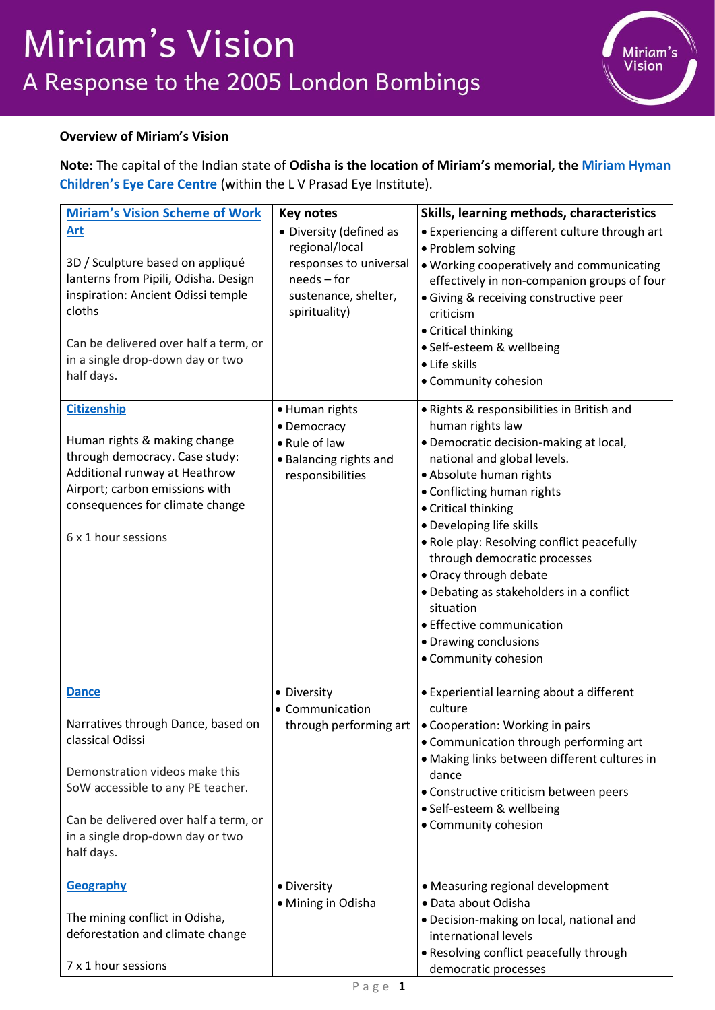

## **Overview of Miriam's Vision**

**Note:** The capital of the Indian state of **Odisha is the location of Miriam's memorial, the [Miriam Hyman](https://www.miriam-hyman.com/miriam-hyman-childrens-eye-care-centre)  [Children's Eye Care Centre](https://www.miriam-hyman.com/miriam-hyman-childrens-eye-care-centre)** (within the L V Prasad Eye Institute).

| <b>Miriam's Vision Scheme of Work</b>                                     | <b>Key notes</b>        | Skills, learning methods, characteristics      |
|---------------------------------------------------------------------------|-------------------------|------------------------------------------------|
| Art                                                                       | • Diversity (defined as | • Experiencing a different culture through art |
|                                                                           | regional/local          | • Problem solving                              |
| 3D / Sculpture based on appliqué                                          | responses to universal  | . Working cooperatively and communicating      |
| lanterns from Pipili, Odisha. Design                                      | needs - for             | effectively in non-companion groups of four    |
| inspiration: Ancient Odissi temple                                        | sustenance, shelter,    | · Giving & receiving constructive peer         |
| cloths                                                                    | spirituality)           | criticism                                      |
| Can be delivered over half a term, or                                     |                         | • Critical thinking                            |
| in a single drop-down day or two                                          |                         | · Self-esteem & wellbeing                      |
| half days.                                                                |                         | • Life skills                                  |
|                                                                           |                         | • Community cohesion                           |
| <b>Citizenship</b>                                                        | • Human rights          | . Rights & responsibilities in British and     |
|                                                                           | • Democracy             | human rights law                               |
| Human rights & making change                                              | • Rule of law           | · Democratic decision-making at local,         |
| through democracy. Case study:                                            | • Balancing rights and  | national and global levels.                    |
| Additional runway at Heathrow                                             | responsibilities        | • Absolute human rights                        |
| Airport; carbon emissions with                                            |                         | • Conflicting human rights                     |
| consequences for climate change                                           |                         | • Critical thinking                            |
| 6 x 1 hour sessions                                                       |                         | · Developing life skills                       |
|                                                                           |                         | . Role play: Resolving conflict peacefully     |
|                                                                           |                         | through democratic processes                   |
|                                                                           |                         | • Oracy through debate                         |
|                                                                           |                         | · Debating as stakeholders in a conflict       |
|                                                                           |                         | situation                                      |
|                                                                           |                         | • Effective communication                      |
|                                                                           |                         | • Drawing conclusions<br>• Community cohesion  |
|                                                                           |                         |                                                |
| <b>Dance</b>                                                              | • Diversity             | • Experiential learning about a different      |
|                                                                           | • Communication         | culture                                        |
| Narratives through Dance, based on                                        | through performing art  | • Cooperation: Working in pairs                |
| classical Odissi                                                          |                         | • Communication through performing art         |
|                                                                           |                         | • Making links between different cultures in   |
| Demonstration videos make this                                            |                         | dance                                          |
| SoW accessible to any PE teacher.                                         |                         | • Constructive criticism between peers         |
|                                                                           |                         | · Self-esteem & wellbeing                      |
| Can be delivered over half a term, or<br>in a single drop-down day or two |                         | • Community cohesion                           |
| half days.                                                                |                         |                                                |
|                                                                           |                         |                                                |
| Geography                                                                 | • Diversity             | • Measuring regional development               |
|                                                                           | • Mining in Odisha      | · Data about Odisha                            |
| The mining conflict in Odisha,                                            |                         | · Decision-making on local, national and       |
| deforestation and climate change                                          |                         | international levels                           |
|                                                                           |                         | • Resolving conflict peacefully through        |
| 7 x 1 hour sessions                                                       |                         | democratic processes                           |